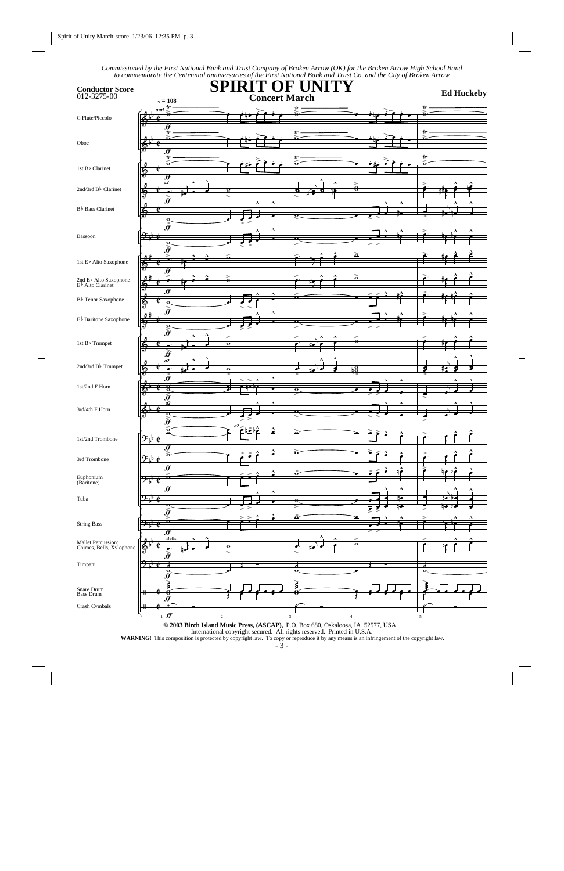*Commissioned by the First National Bank and Trust Company of Broken Arrow (OK) for the Broken Arrow High School Band to commemorate the Centennial anniversaries of the First National Bank and Trust Co. and the City of Broken Arrow*

| <b>Conductor Score</b><br>012-3275-00          | $e = 108$                                                                                                 | <b>SPIRIT OF UNITY</b>            |                                            |                               | <b>Ed Huckeby</b>                |
|------------------------------------------------|-----------------------------------------------------------------------------------------------------------|-----------------------------------|--------------------------------------------|-------------------------------|----------------------------------|
|                                                | M<br>                                                                                                     |                                   | fr mummummum                               |                               | Fr<br>                           |
| C Flute/Piccolo                                | tutti                                                                                                     |                                   |                                            |                               |                                  |
|                                                |                                                                                                           |                                   |                                            |                               |                                  |
|                                                | $\overline{\mathbf{\mathit{ff}}}$<br>fr<br>                                                               |                                   | Gr<br>                                     |                               | <b>tr</b>                        |
|                                                | e                                                                                                         |                                   |                                            |                               |                                  |
| Oboe                                           |                                                                                                           |                                   |                                            |                               |                                  |
|                                                | $\overline{\boldsymbol{f\!f}}$<br><b>sr</b><br>                                                           |                                   | r<br>                                      |                               | p mmmmmmmmm                      |
|                                                | õ                                                                                                         |                                   | $\mathbf{o}$                               |                               | $\Omega$                         |
| 1st B <sub>b</sub> Clarinet                    | €                                                                                                         |                                   |                                            |                               |                                  |
|                                                | $\overline{\boldsymbol{\mathcal{F}}}$<br>a2                                                               |                                   |                                            | >                             |                                  |
| 2nd/3rd $B^{\frac{1}{2}}$ Clarinet             | €                                                                                                         | 8                                 |                                            | 8                             |                                  |
|                                                | $\widehat{\!\vec{H}}$                                                                                     | ⋝                                 |                                            |                               |                                  |
|                                                |                                                                                                           |                                   |                                            |                               |                                  |
| B <sub>b</sub> Bass Clarinet                   | $\bigcirc$                                                                                                |                                   |                                            |                               |                                  |
|                                                | $\bar{g}$<br>$\bar{f}$                                                                                    | す<br>$\overline{\bullet}$         |                                            | $\geq$<br>$\geq$              |                                  |
|                                                |                                                                                                           |                                   |                                            |                               |                                  |
| Bassoon                                        | $\mathcal{F}_{\frac{1}{2}}$                                                                               |                                   |                                            |                               |                                  |
|                                                | $\mathbf \sigma$<br>$\widehat{\widehat{f\hspace{-0.1cm}f\hspace{-0.1cm}f\hspace{-0.1cm}f\hspace{-0.1cm}}$ |                                   |                                            |                               |                                  |
|                                                |                                                                                                           |                                   |                                            | ó                             |                                  |
| 1st Eb Alto Saxophone                          | €                                                                                                         |                                   |                                            |                               |                                  |
|                                                |                                                                                                           |                                   |                                            |                               |                                  |
| $2$ nd Eb Alto Saxophone Eb Alto Clarinet      |                                                                                                           |                                   |                                            | ัล                            |                                  |
|                                                | $\boldsymbol{f}$                                                                                          |                                   |                                            |                               |                                  |
| B <sub>b</sub> Tenor Saxophone                 | $\Phi$                                                                                                    |                                   |                                            |                               |                                  |
|                                                | $\bullet$<br>$\bullet$<br>$\overline{\overline{\mathbf{\hat{f}^{\mathbf{f}}}}}$                           |                                   |                                            |                               |                                  |
|                                                |                                                                                                           |                                   |                                            |                               |                                  |
| E <sup>b</sup> Baritone Saxophone              | $\blacklozenge$<br>$\mathbf o$                                                                            |                                   | $\mathbf \sigma$                           |                               |                                  |
|                                                | $\widehat{\!\vec{\!\mathcal{H}}}$                                                                         | ↘                                 |                                            |                               |                                  |
| 1st B <sub>b</sub> Trumpet                     | €                                                                                                         | $\bullet$                         |                                            | $\bullet$                     |                                  |
|                                                |                                                                                                           |                                   |                                            |                               |                                  |
|                                                | $\overline{\hat{f}\hat{f}}$                                                                               |                                   |                                            |                               |                                  |
| 2nd/3rd $B^{\frac{1}{2}}$ Trumpet              | $\blacklozenge$<br>∙                                                                                      | $\bullet$                         |                                            | $\frac{18}{10}$               |                                  |
|                                                | $\overline{\tilde{\boldsymbol{f}}\hspace{-0.5mm}\boldsymbol{f}}$                                          | ⇒                                 |                                            |                               |                                  |
| 1st/2nd F Horn                                 |                                                                                                           | ><br>$\lambda$                    |                                            |                               |                                  |
|                                                | $\bf{S}$<br>٠<br>$\overline{\widetilde{H}}$                                                               |                                   | $\bullet$                                  |                               |                                  |
|                                                | $\frac{JJ}{a2}$                                                                                           |                                   |                                            |                               |                                  |
| 3rd/4th F Horn                                 |                                                                                                           |                                   | $\bullet$                                  |                               |                                  |
|                                                | $\mathbf{\Theta}_{\mathbf{t}}$<br>$\widehat{\!\vec{\!\mathit{f}}\!\!\mathit{f}}$                          | $\overline{\mathbf{z}}$<br>$\geq$ | $\mathbf{r}$                               | ↘                             | ⇒                                |
|                                                | $\sum_{\mathbf{p}}$                                                                                       | $a^2$                             |                                            |                               |                                  |
| 1st/2nd Trombone                               | $\mathcal{F} \mathrel{\vdash} \mathfrak{c}$                                                               |                                   | $\mathbf{a}$                               |                               |                                  |
|                                                | $\overline{\boldsymbol{f\!f}}$                                                                            |                                   |                                            |                               |                                  |
|                                                | õ                                                                                                         | $\lambda$<br>$\geq$               | $\mathbf{a}$                               |                               | ⇒                                |
| 3rd Trombone                                   | $\overline{\mathcal{V}}\mathbin{\Downarrow} \mathfrak{t}$                                                 |                                   |                                            |                               |                                  |
|                                                | $\overline{\boldsymbol{f} \boldsymbol{f}}$<br>⇒                                                           |                                   | $\widetilde{\bullet}$                      | կ≙                            | 2<br>$h \triangleq b \triangleq$ |
| Euphonium<br>(Baritone)                        | $\mathfrak{P}$<br>⊖                                                                                       |                                   |                                            |                               |                                  |
|                                                | $\overline{\boldsymbol{f} \boldsymbol{f}}$                                                                |                                   |                                            | ^                             | ٨                                |
| Tuba                                           | $\mathbf{\mathcal{P}}$ , $\mathbf{\mathfrak{e}}$                                                          | ٨                                 |                                            |                               | ic Do                            |
|                                                |                                                                                                           | 5<br>>                            | $\mathbf o$<br>$\geq$                      |                               |                                  |
|                                                | $\overline{\hat{f}^{\mathcal{F}}}$                                                                        | Λ                                 |                                            |                               |                                  |
| <b>String Bass</b>                             | ⋗<br>$\bullet$<br>$\frac{1}{2}$                                                                           |                                   | €                                          |                               |                                  |
|                                                | $\overline{\boldsymbol{f} \boldsymbol{f}}$                                                                |                                   |                                            | ↘<br>$\overline{\phantom{a}}$ |                                  |
|                                                | Bells                                                                                                     |                                   | л                                          | $\,>$                         | >                                |
| Mallet Percussion:<br>Chimes, Bells, Xylophone | Þ.                                                                                                        | $\mathbf o$                       | ø<br>-                                     | $\mathbf{o}$                  |                                  |
|                                                | $\widehat{\!\vec{\!\mathit{ff}}}$                                                                         | $\geq$                            |                                            |                               |                                  |
| Timpani                                        | $\mathfrak{P}$<br>ź                                                                                       |                                   | ٤                                          |                               | 彡                                |
|                                                | O.<br>ff                                                                                                  |                                   | $\overline{o}$                             |                               |                                  |
|                                                | Ì                                                                                                         |                                   |                                            |                               | $\mathbf{r}$                     |
| Snare Drum<br>Bass Drum                        | ╫<br>₩                                                                                                    |                                   | Amix                                       |                               |                                  |
|                                                | $\boldsymbol{f}$                                                                                          |                                   |                                            |                               |                                  |
| Crash Cymbals                                  |                                                                                                           |                                   |                                            |                               |                                  |
|                                                | $\boldsymbol{f}$<br>1                                                                                     | $\overline{c}$                    | $\overline{\mathbf{3}}$                    | $\overline{4}$                | 5                                |
|                                                | $\otimes$ 2002 Director Lebes                                                                             | $C C \wedge D$<br>D.              | $\mathbf{D} \cap$<br>$D =$<br>$(0000 - 1)$ | $52577$ TIC A                 |                                  |

2003 Birch Island Music Press, (ASCAP), P.O. Box 680, Oskaloosa, IA 52577, USA International copyright secured. All rights reserved. Printed in U.S.A. WARNING! This composition is protected by copyright law. To copy or reproduce it by any means is an infringement of the copyright law. **© 2003 Birch Island Music Press, (ASCAP),**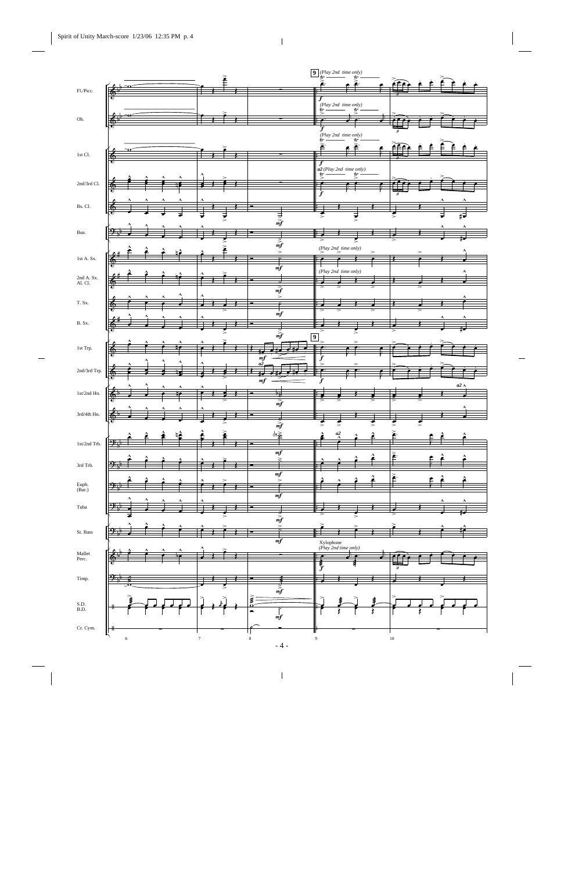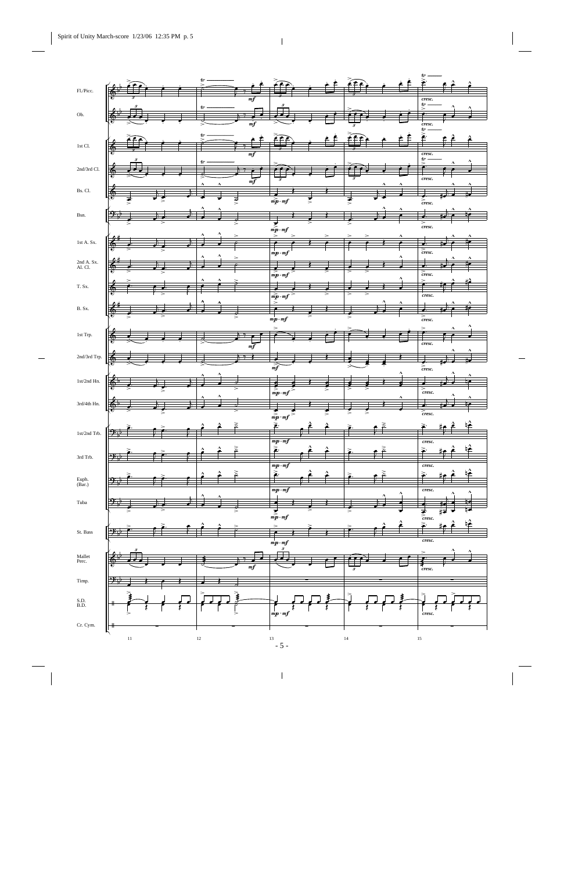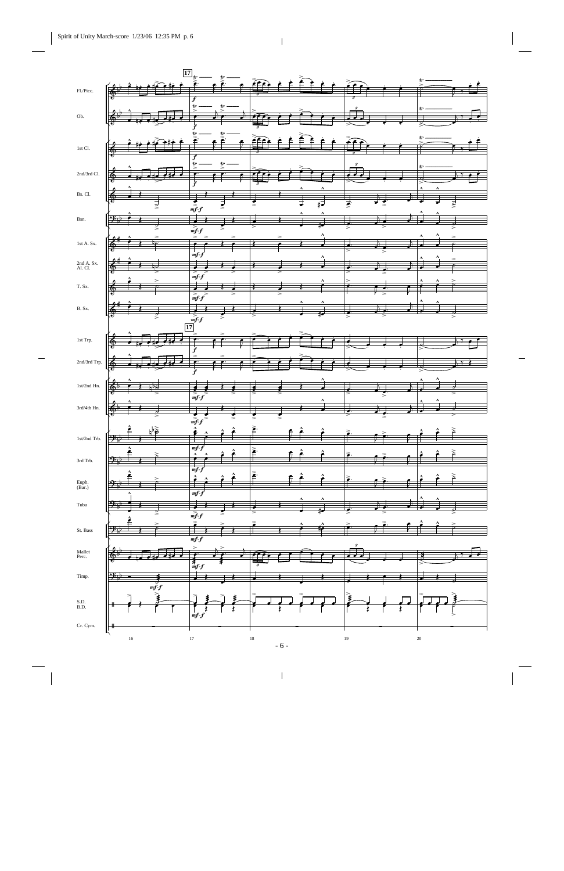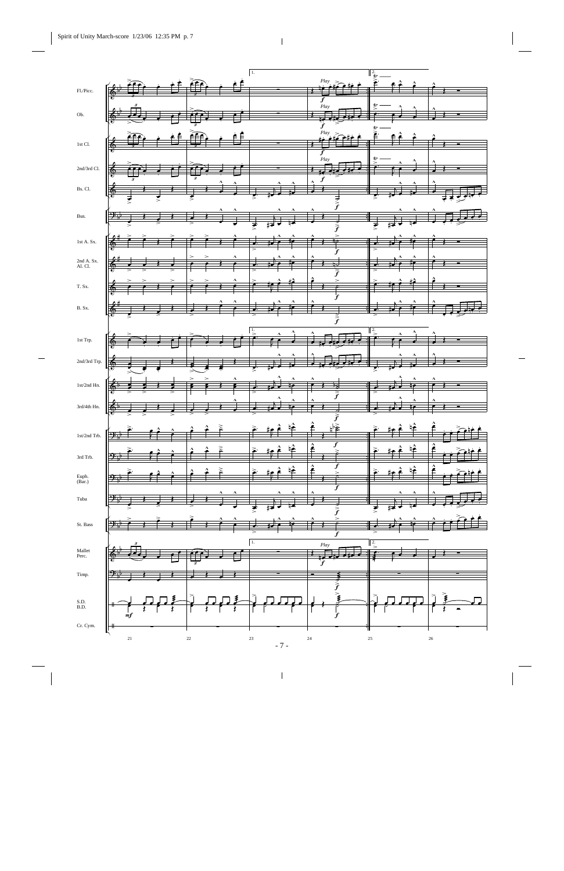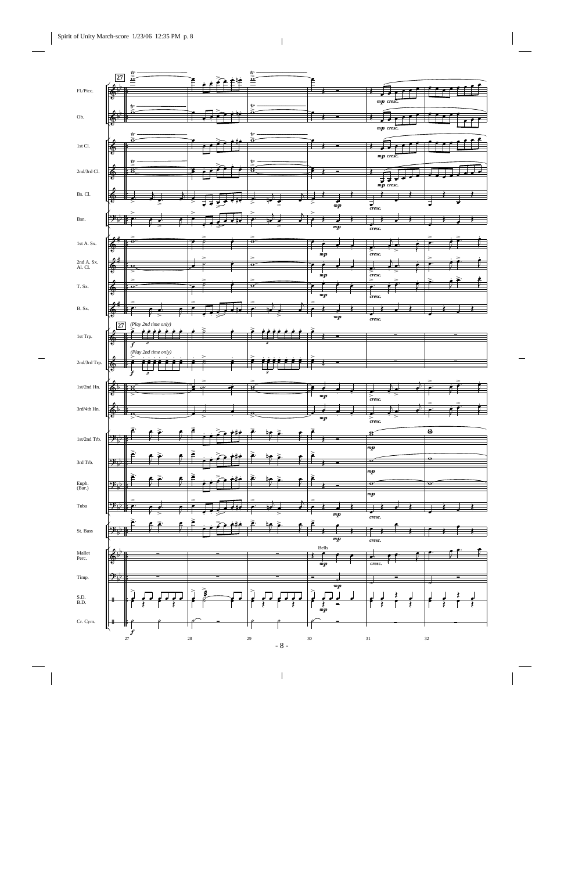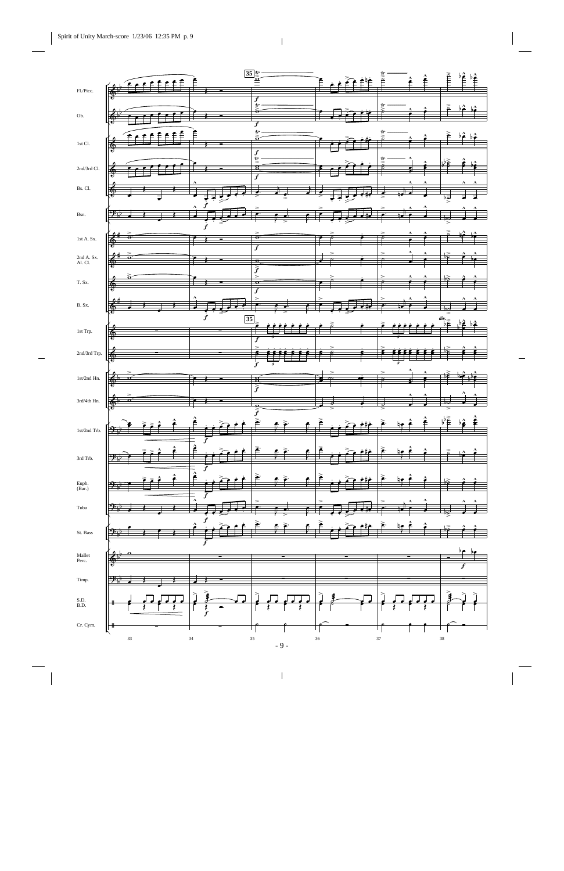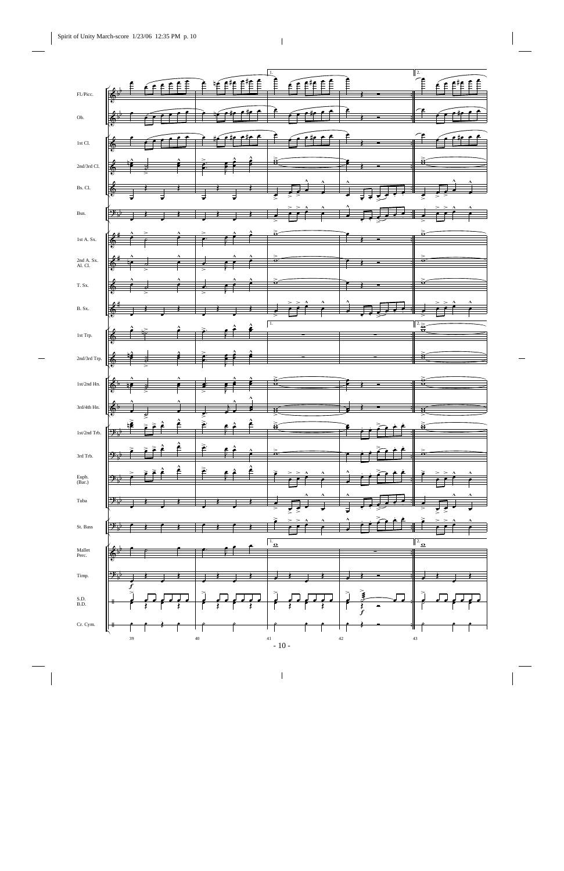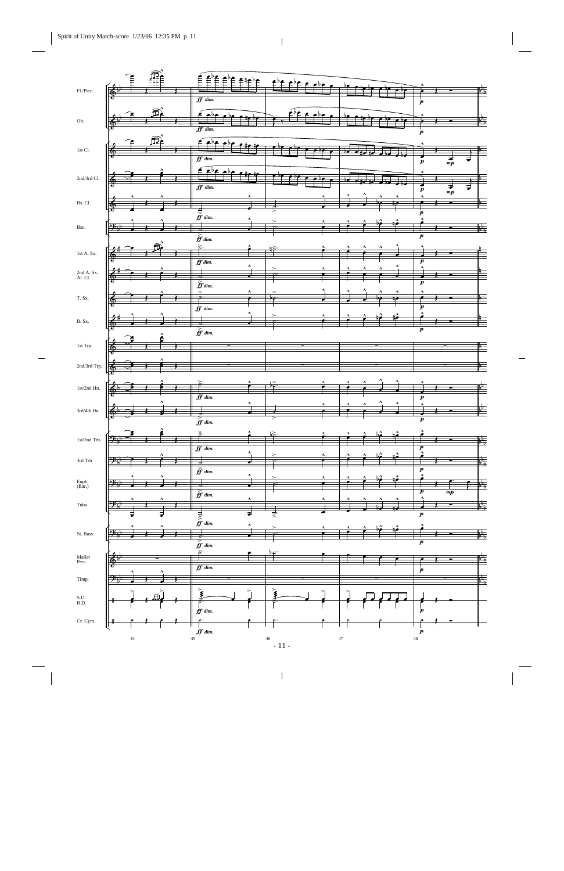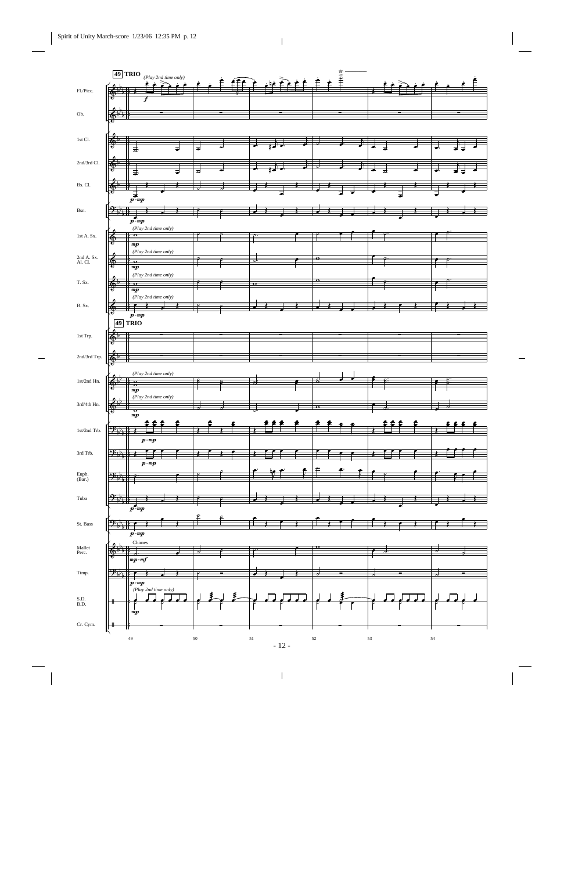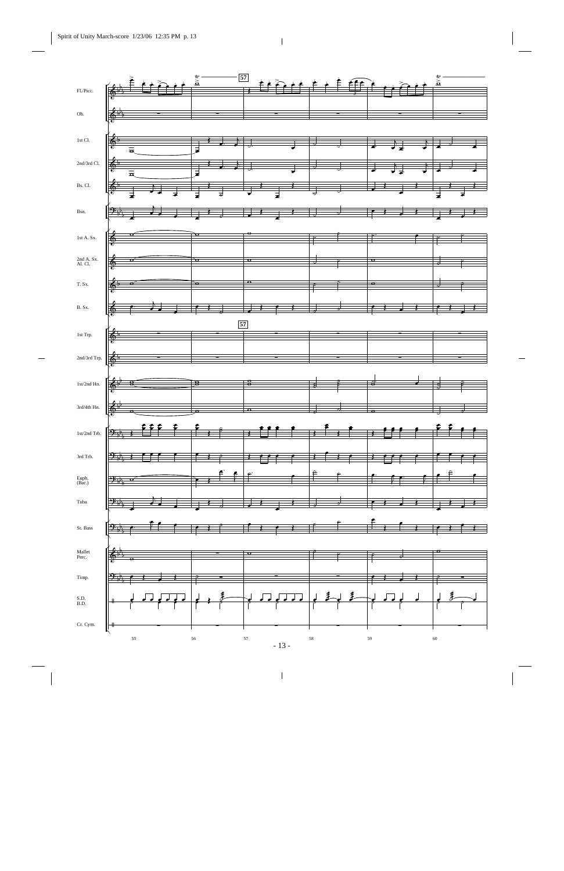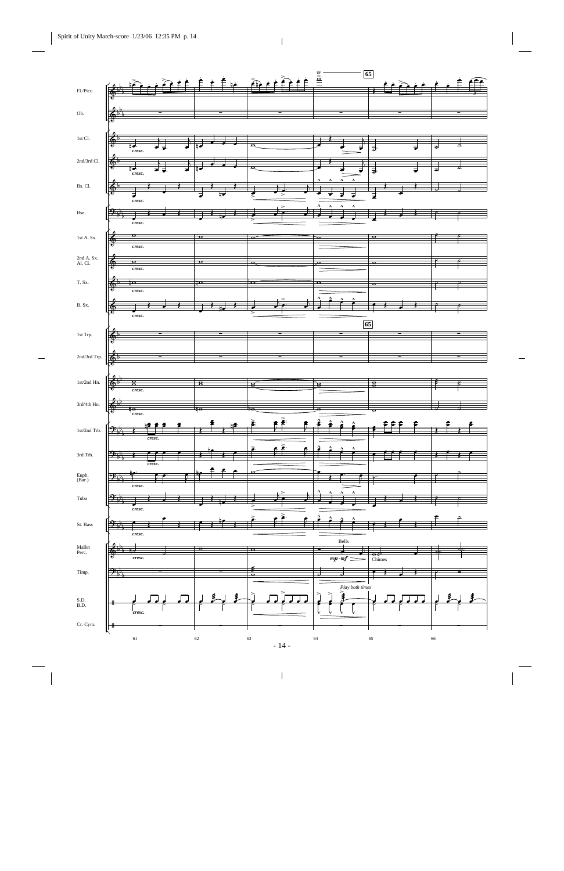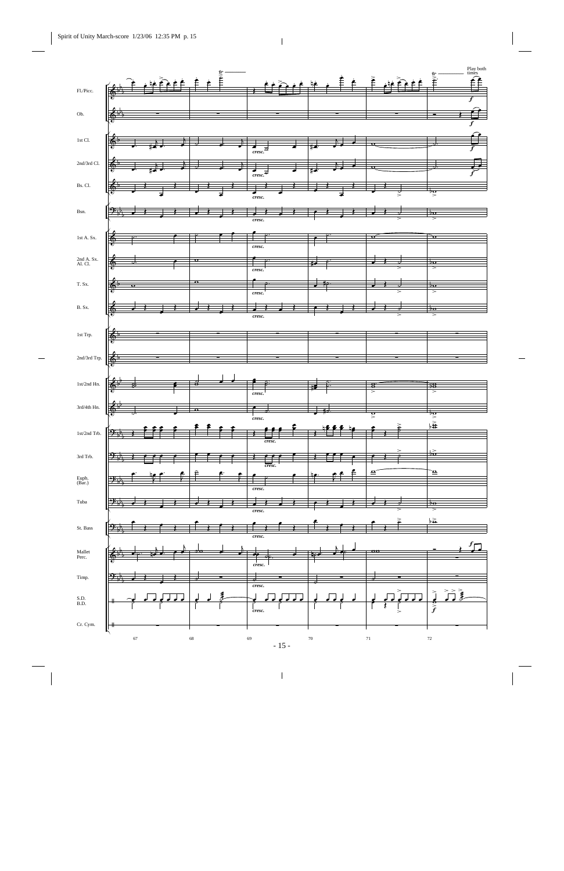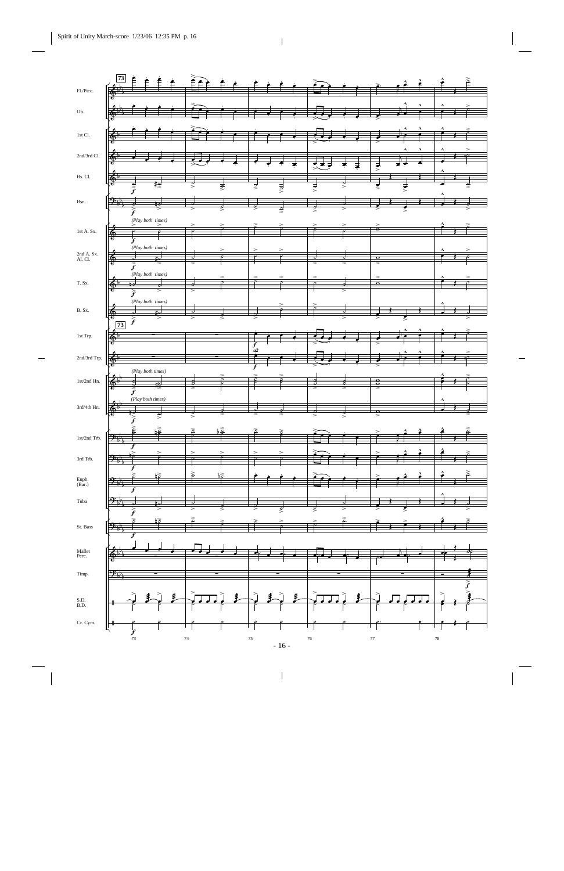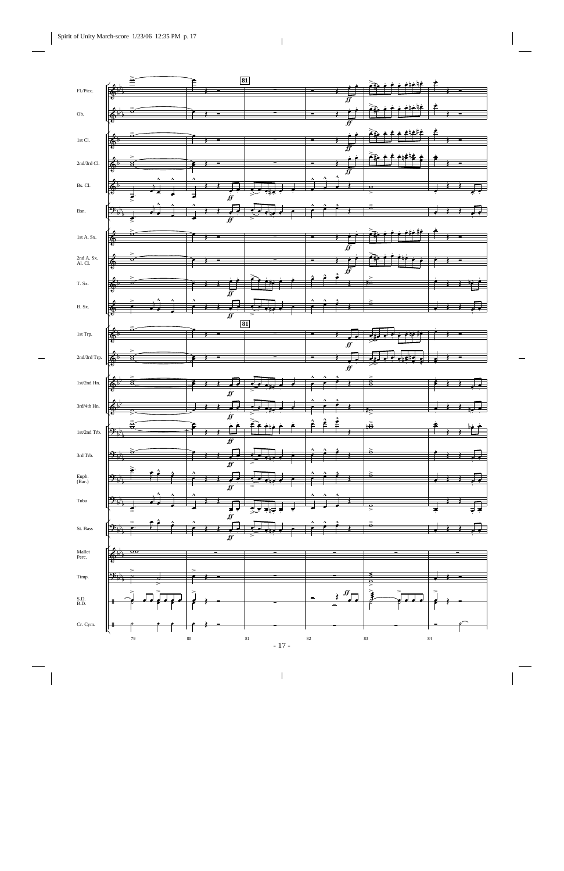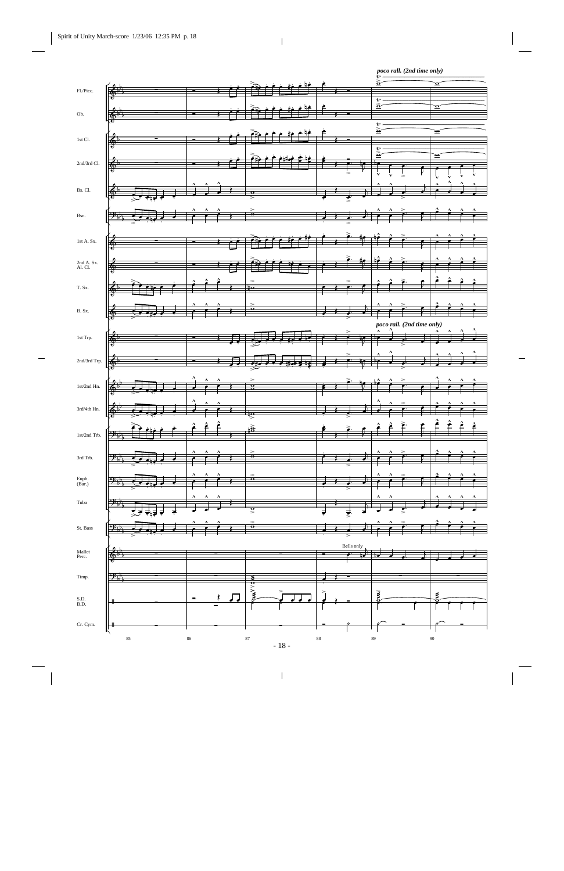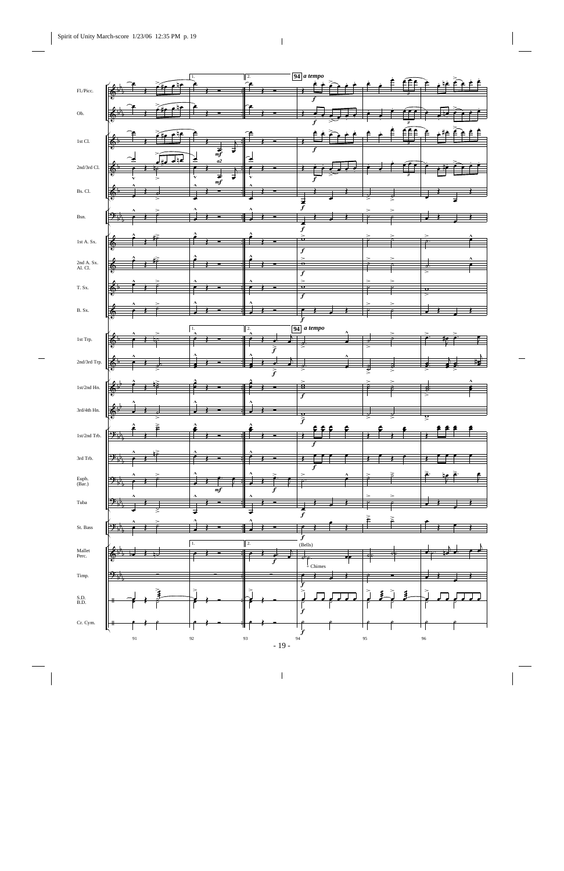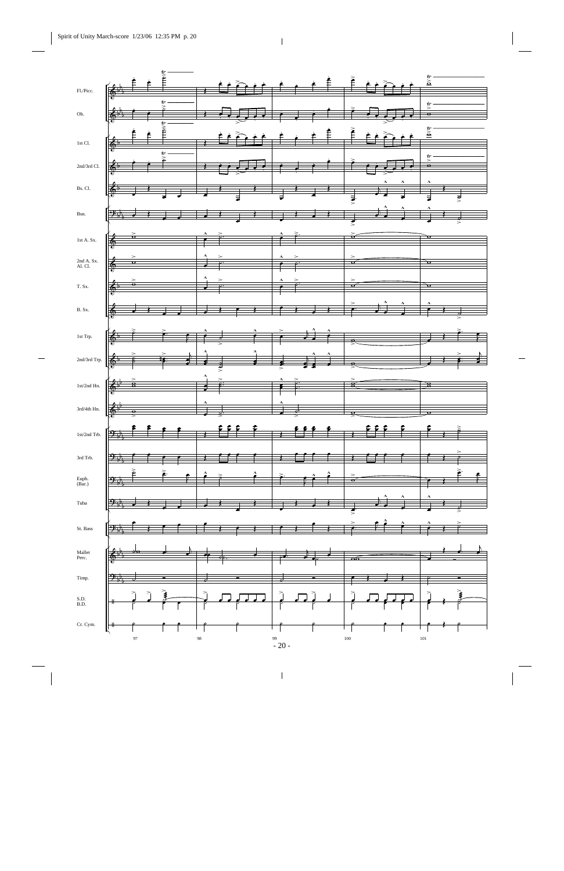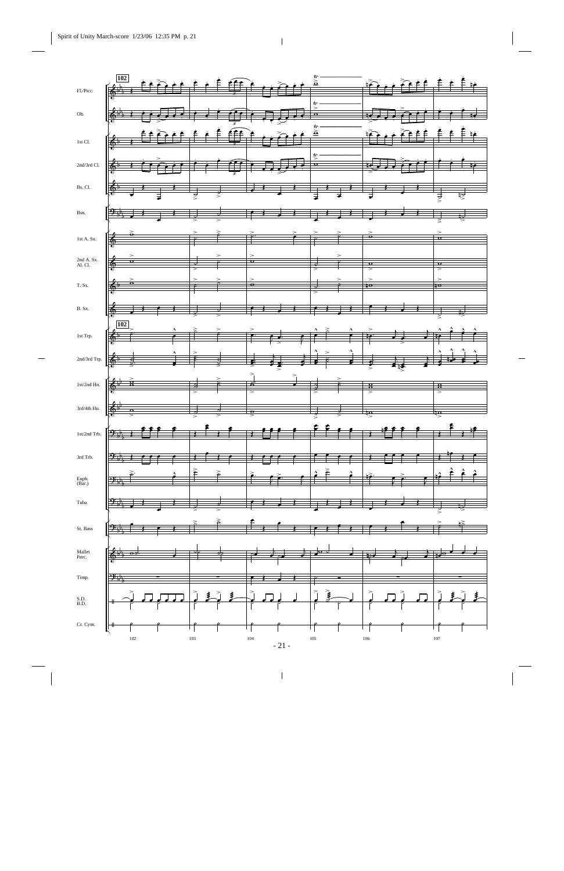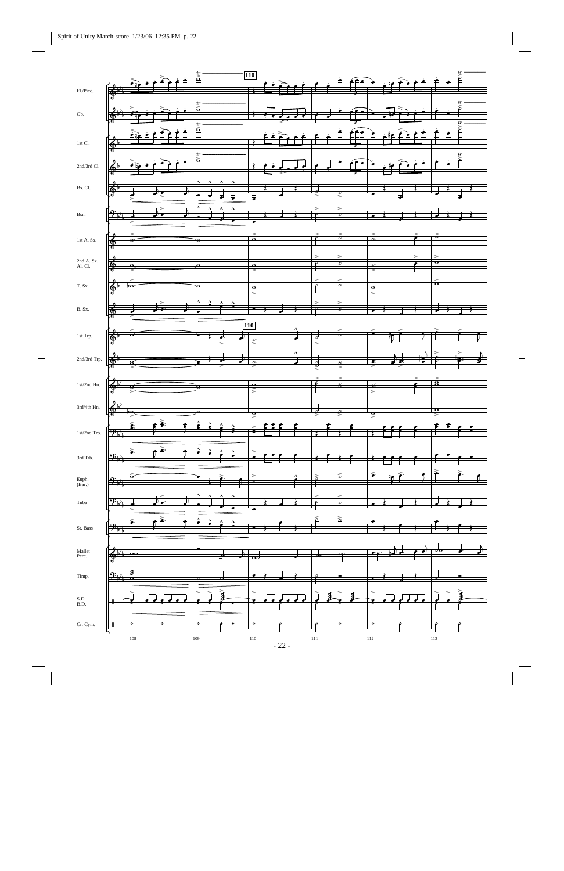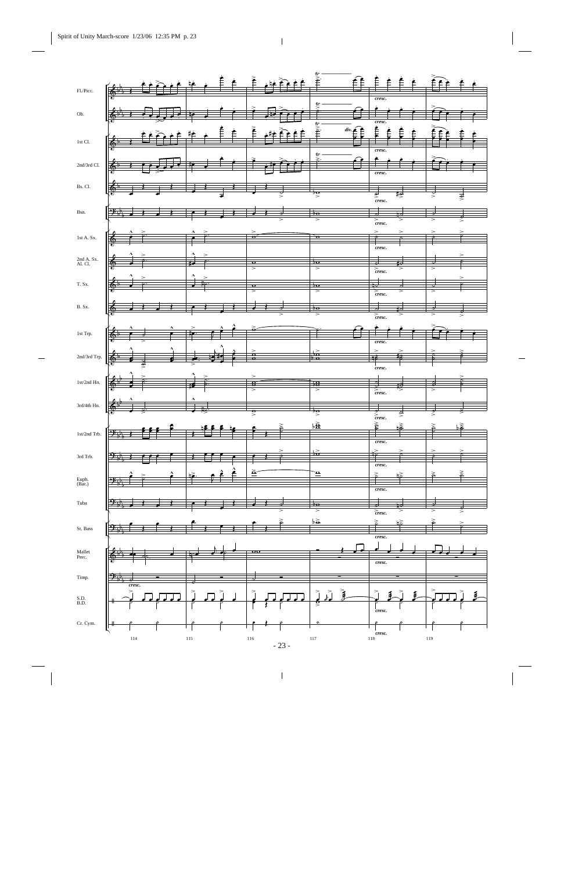